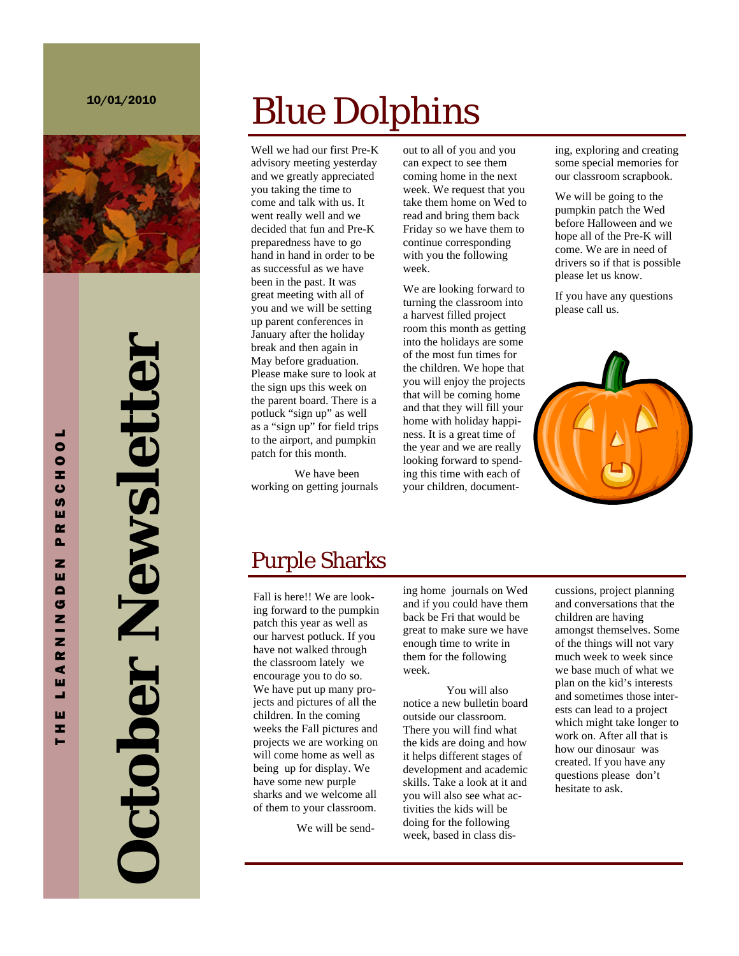

# **October Newsletter Detober Newsletter**

# Blue Dolphins

Well we had our first Pre-K advisory meeting yesterday and we greatly appreciated you taking the time to come and talk with us. It went really well and we decided that fun and Pre-K preparedness have to go hand in hand in order to be as successful as we have been in the past. It was great meeting with all of you and we will be setting up parent conferences in January after the holiday break and then again in May before graduation. Please make sure to look at the sign ups this week on the parent board. There is a potluck "sign up" as well as a "sign up" for field trips to the airport, and pumpkin patch for this month.

 We have been working on getting journals out to all of you and you can expect to see them coming home in the next week. We request that you take them home on Wed to read and bring them back Friday so we have them to continue corresponding with you the following week.

We are looking forward to turning the classroom into a harvest filled project room this month as getting into the holidays are some of the most fun times for the children. We hope that you will enjoy the projects that will be coming home and that they will fill your home with holiday happiness. It is a great time of the year and we are really looking forward to spending this time with each of your children, documenting, exploring and creating some special memories for our classroom scrapbook.

We will be going to the pumpkin patch the Wed before Halloween and we hope all of the Pre-K will come. We are in need of drivers so if that is possible please let us know.

If you have any questions please call us.



# Purple Sharks

Fall is here!! We are looking forward to the pumpkin patch this year as well as our harvest potluck. If you have not walked through the classroom lately we encourage you to do so. We have put up many projects and pictures of all the children. In the coming weeks the Fall pictures and projects we are working on will come home as well as being up for display. We have some new purple sharks and we welcome all of them to your classroom.

We will be send-

ing home journals on Wed and if you could have them back be Fri that would be great to make sure we have enough time to write in them for the following week.

 You will also notice a new bulletin board outside our classroom. There you will find what the kids are doing and how it helps different stages of development and academic skills. Take a look at it and you will also see what activities the kids will be doing for the following week, based in class discussions, project planning and conversations that the children are having amongst themselves. Some of the things will not vary much week to week since we base much of what we plan on the kid's interests and sometimes those interests can lead to a project which might take longer to work on. After all that is how our dinosaur was created. If you have any questions please don't hesitate to ask.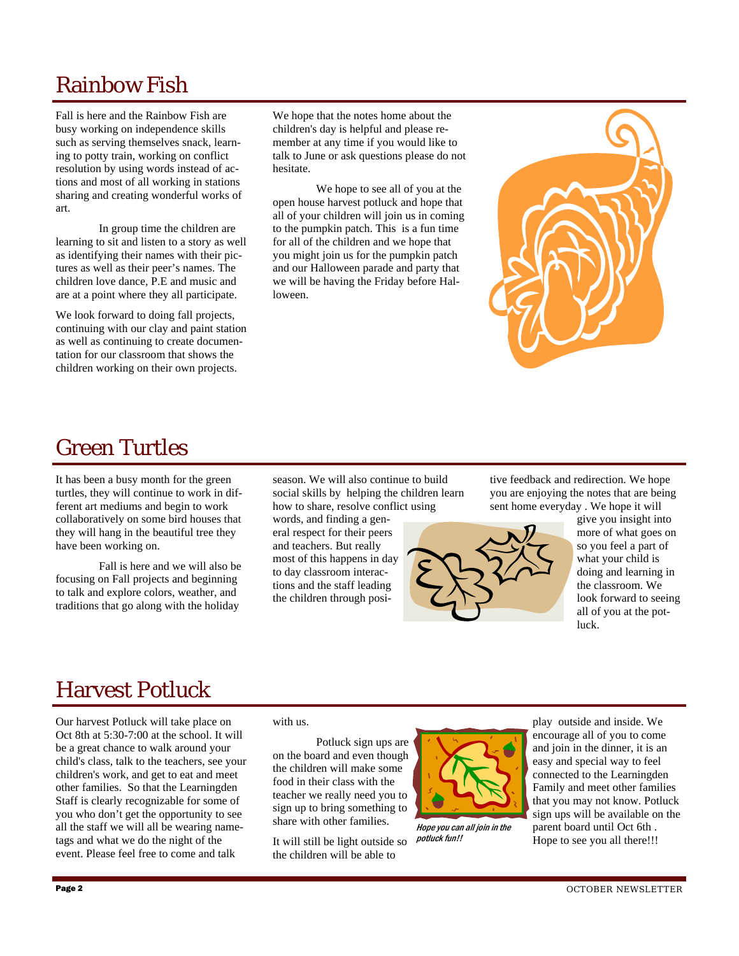# Rainbow Fish

Fall is here and the Rainbow Fish are busy working on independence skills such as serving themselves snack, learning to potty train, working on conflict resolution by using words instead of actions and most of all working in stations sharing and creating wonderful works of art.

 In group time the children are learning to sit and listen to a story as well as identifying their names with their pictures as well as their peer's names. The children love dance, P.E and music and are at a point where they all participate.

We look forward to doing fall projects, continuing with our clay and paint station as well as continuing to create documentation for our classroom that shows the children working on their own projects.

We hope that the notes home about the children's day is helpful and please remember at any time if you would like to talk to June or ask questions please do not hesitate.

 We hope to see all of you at the open house harvest potluck and hope that all of your children will join us in coming to the pumpkin patch. This is a fun time for all of the children and we hope that you might join us for the pumpkin patch and our Halloween parade and party that we will be having the Friday before Halloween.



## Green Turtles

It has been a busy month for the green turtles, they will continue to work in different art mediums and begin to work collaboratively on some bird houses that they will hang in the beautiful tree they have been working on.

 Fall is here and we will also be focusing on Fall projects and beginning to talk and explore colors, weather, and traditions that go along with the holiday

season. We will also continue to build social skills by helping the children learn how to share, resolve conflict using

words, and finding a general respect for their peers and teachers. But really most of this happens in day to day classroom interactions and the staff leading the children through positive feedback and redirection. We hope you are enjoying the notes that are being sent home everyday . We hope it will



give you insight into more of what goes on so you feel a part of what your child is doing and learning in the classroom. We look forward to seeing all of you at the potluck.

# Harvest Potluck

Our harvest Potluck will take place on Oct 8th at 5:30-7:00 at the school. It will be a great chance to walk around your child's class, talk to the teachers, see your children's work, and get to eat and meet other families. So that the Learningden Staff is clearly recognizable for some of you who don't get the opportunity to see all the staff we will all be wearing nametags and what we do the night of the event. Please feel free to come and talk

### with us.

 Potluck sign ups are on the board and even though the children will make some food in their class with the teacher we really need you to sign up to bring something to share with other families.

It will still be light outside so the children will be able to



Hope you can all join in the potluck fun!!

play outside and inside. We encourage all of you to come and join in the dinner, it is an easy and special way to feel connected to the Learningden Family and meet other families that you may not know. Potluck sign ups will be available on the parent board until Oct 6th . Hope to see you all there!!!